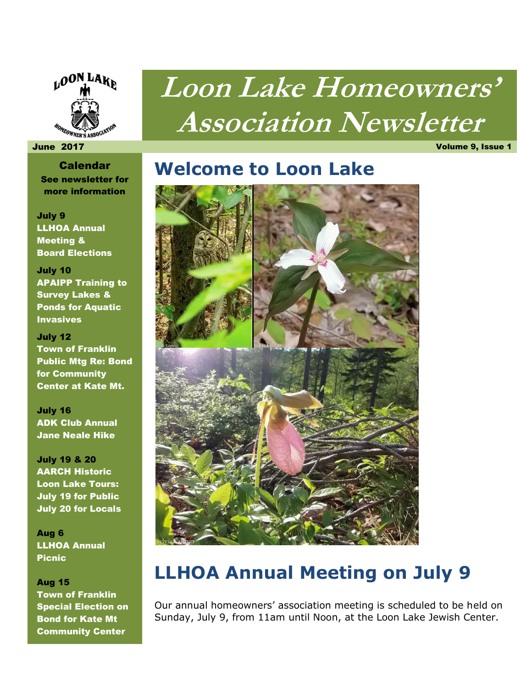

# **Loon Lake Homeowners' Association Newsletter**

#### June 2017 Volume 9, Issue 1

Calendar See newsletter for more information

July 9 LLHOA Annual Meeting & Board Elections

July 10 APAIPP Training to Survey Lakes & Ponds for Aquatic Invasives

July 12 Town of Franklin Public Mtg Re: Bond for Community Center at Kate Mt.

July 16 ADK Club Annual Jane Neale Hike

July 19 & 20 AARCH Historic Loon Lake Tours: July 19 for Public July 20 for Locals

Aug 6 LLHOA Annual Picnic

#### Aug 15

Town of Franklin Special Election on Bond for Kate Mt Community Center

### **Welcome to Loon Lake**



### **LLHOA Annual Meeting on July 9**

Our annual homeowners' association meeting is scheduled to be held on Sunday, July 9, from 11am until Noon, at the Loon Lake Jewish Center.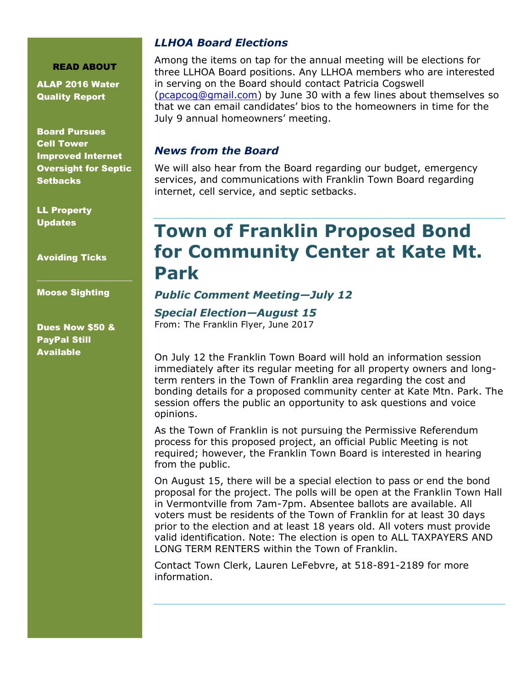#### READ ABOUT

ALAP 2016 Water Quality Report

Board Pursues Cell Tower Improved Internet Oversight for Septic **Setbacks** 

LL Property Updates

Avoiding Ticks

Moose Sighting

Dues Now \$50 & PayPal Still Available

### *LLHOA Board Elections*

Among the items on tap for the annual meeting will be elections for three LLHOA Board positions. Any LLHOA members who are interested in serving on the Board should contact Patricia Cogswell [\(pcapcog@gmail.com\)](mailto:pcapcog@gmail.com) by June 30 with a few lines about themselves so that we can email candidates' bios to the homeowners in time for the July 9 annual homeowners' meeting.

#### *News from the Board*

We will also hear from the Board regarding our budget, emergency services, and communications with Franklin Town Board regarding internet, cell service, and septic setbacks.

### **Town of Franklin Proposed Bond for Community Center at Kate Mt. Park**

### *Public Comment Meeting—July 12*

### *Special Election—August 15*

From: The Franklin Flyer, June 2017

On July 12 the Franklin Town Board will hold an information session immediately after its regular meeting for all property owners and longterm renters in the Town of Franklin area regarding the cost and bonding details for a proposed community center at Kate Mtn. Park. The session offers the public an opportunity to ask questions and voice opinions.

As the Town of Franklin is not pursuing the Permissive Referendum process for this proposed project, an official Public Meeting is not required; however, the Franklin Town Board is interested in hearing from the public.

On August 15, there will be a special election to pass or end the bond proposal for the project. The polls will be open at the Franklin Town Hall in Vermontville from 7am-7pm. Absentee ballots are available. All voters must be residents of the Town of Franklin for at least 30 days prior to the election and at least 18 years old. All voters must provide valid identification. Note: The election is open to ALL TAXPAYERS AND LONG TERM RENTERS within the Town of Franklin.

Contact Town Clerk, Lauren LeFebvre, at 518-891-2189 for more information.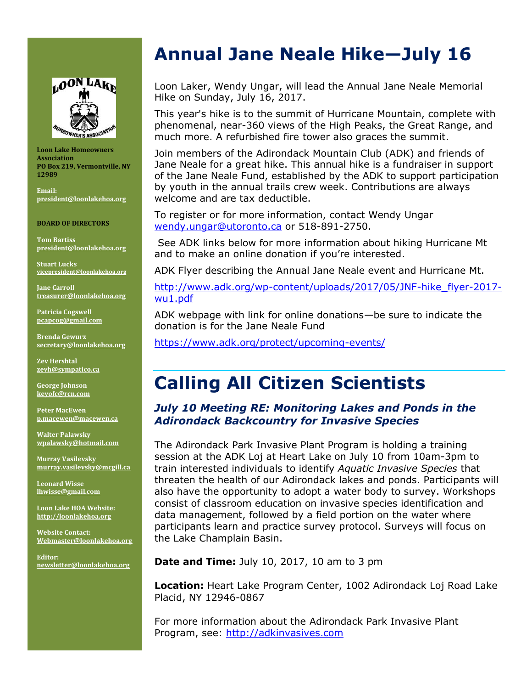

**Loon Lake Homeowners Association PO Box 219, Vermontville, NY 12989** 

**Email: [president@loonlakehoa.org](mailto:president@loonlakehoa.org)**

#### **BOARD OF DIRECTORS**

**Tom Bartiss [president@loonlakehoa.org](mailto:president@loonlakehoa.org)**

**Stuart Lucks [vicepresident@loonlakehoa.org](mailto:vicepresident@loonlakehoa.org)**

**Jane Carroll [treasurer@loonlakehoa.org](mailto:treasurer@loonlakehoa.org)**

**Patricia Cogswell [pcapcog@gmail.com](mailto:pcapcog@gmail.com)**

**Brenda Gewurz [secretary@loonlakehoa.org](mailto:secretary@loonlakehoa.org)**

**Zev Hershtal [zevh@sympatico.ca](mailto:zevh@sympatico.ca)**

**George Johnson [keyofc@rcn.com](mailto:keyofc@rcn.com)**

**Peter MacEwen [p.macewen@macewen.ca](mailto:p.macewen@macewen.ca)**

**Walter Palawsky [wpalawsky@hotmail.com](mailto:wpalawsky@hotmail.com)**

**Murray Vasilevsky [murray.vasilevsky@mcgill.ca](mailto:murray.vasilevsky@mcgill.ca)**

**Leonard Wisse [lhwisse@gmail.com](mailto:lhwisse@gmail.com)**

**Loon Lake HOA Website: [http://loonlakehoa.org](http://loonlakehoa.org/)**

**Website Contact: Webmaster@loonlakehoa.org**

**Editor: [newsletter@loonlakehoa.org](mailto:newsletter@loonlakehoa.org)**

### **Annual Jane Neale Hike—July 16**

Loon Laker, Wendy Ungar, will lead the Annual Jane Neale Memorial Hike on Sunday, July 16, 2017.

This year's hike is to the summit of Hurricane Mountain, complete with phenomenal, near-360 views of the High Peaks, the Great Range, and much more. A refurbished fire tower also graces the summit.

Join members of the Adirondack Mountain Club (ADK) and friends of Jane Neale for a great hike. This annual hike is a fundraiser in support of the Jane Neale Fund, established by the ADK to support participation by youth in the annual trails crew week. Contributions are always welcome and are tax deductible.

To register or for more information, contact Wendy Ungar [wendy.ungar@utoronto.ca](mailto:wendy.ungar@utoronto.ca) or 518-891-2750.

See ADK links below for more information about hiking Hurricane Mt and to make an online donation if you're interested.

ADK Flyer describing the Annual Jane Neale event and Hurricane Mt.

[http://www.adk.org/wp-content/uploads/2017/05/JNF-hike\\_flyer-2017](http://www.adk.org/wp-content/uploads/2017/05/JNF-hike_flyer-2017-wu1.pdf) [wu1.pdf](http://www.adk.org/wp-content/uploads/2017/05/JNF-hike_flyer-2017-wu1.pdf)

ADK webpage with link for online donations—be sure to indicate the donation is for the Jane Neale Fund

<https://www.adk.org/protect/upcoming-events/>

### **Calling All Citizen Scientists**

### *July 10 Meeting RE: Monitoring Lakes and Ponds in the Adirondack Backcountry for Invasive Species*

The Adirondack Park Invasive Plant Program is holding a training session at the ADK Loj at Heart Lake on July 10 from 10am-3pm to train interested individuals to identify *Aquatic Invasive Species* that threaten the health of our Adirondack lakes and ponds. Participants will also have the opportunity to adopt a water body to survey. Workshops consist of classroom education on invasive species identification and data management, followed by a field portion on the water where participants learn and practice survey protocol. Surveys will focus on the Lake Champlain Basin.

**Date and Time:** July 10, 2017, 10 am to 3 pm

**Location:** Heart Lake Program Center, 1002 Adirondack Loj Road Lake Placid, NY 12946-0867

For more information about the Adirondack Park Invasive Plant Program, see: [http://adkinvasives.com](http://adkinvasives.com/)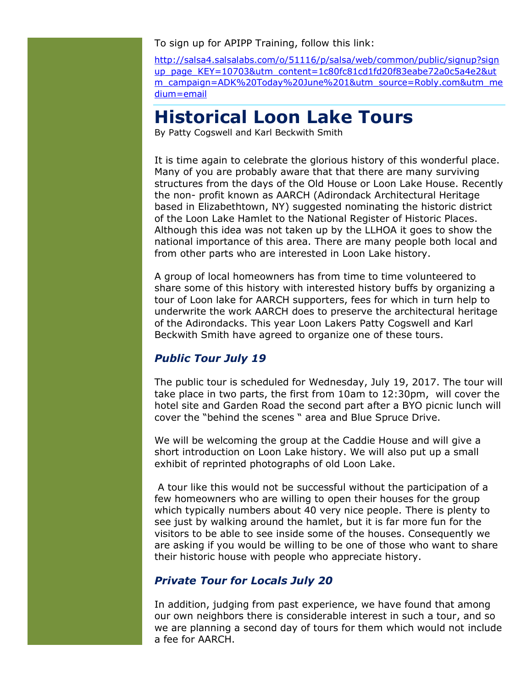To sign up for APIPP Training, follow this link:

[http://salsa4.salsalabs.com/o/51116/p/salsa/web/common/public/signup?sign](http://salsa4.salsalabs.com/o/51116/p/salsa/web/common/public/signup?signup_page_KEY=10703&utm_content=1c80fc81cd1fd20f83eabe72a0c5a4e2&utm_campaign=ADK%20Today%20June%201&utm_source=Robly.com&utm_medium=email) [up\\_page\\_KEY=10703&utm\\_content=1c80fc81cd1fd20f83eabe72a0c5a4e2&ut](http://salsa4.salsalabs.com/o/51116/p/salsa/web/common/public/signup?signup_page_KEY=10703&utm_content=1c80fc81cd1fd20f83eabe72a0c5a4e2&utm_campaign=ADK%20Today%20June%201&utm_source=Robly.com&utm_medium=email) [m\\_campaign=ADK%20Today%20June%201&utm\\_source=Robly.com&utm\\_me](http://salsa4.salsalabs.com/o/51116/p/salsa/web/common/public/signup?signup_page_KEY=10703&utm_content=1c80fc81cd1fd20f83eabe72a0c5a4e2&utm_campaign=ADK%20Today%20June%201&utm_source=Robly.com&utm_medium=email) [dium=email](http://salsa4.salsalabs.com/o/51116/p/salsa/web/common/public/signup?signup_page_KEY=10703&utm_content=1c80fc81cd1fd20f83eabe72a0c5a4e2&utm_campaign=ADK%20Today%20June%201&utm_source=Robly.com&utm_medium=email)

### **Historical Loon Lake Tours**

By Patty Cogswell and Karl Beckwith Smith

It is time again to celebrate the glorious history of this wonderful place. Many of you are probably aware that that there are many surviving structures from the days of the Old House or Loon Lake House. Recently the non- profit known as AARCH (Adirondack Architectural Heritage based in Elizabethtown, NY) suggested nominating the historic district of the Loon Lake Hamlet to the National Register of Historic Places. Although this idea was not taken up by the LLHOA it goes to show the national importance of this area. There are many people both local and from other parts who are interested in Loon Lake history.

A group of local homeowners has from time to time volunteered to share some of this history with interested history buffs by organizing a tour of Loon lake for AARCH supporters, fees for which in turn help to underwrite the work AARCH does to preserve the architectural heritage of the Adirondacks. This year Loon Lakers Patty Cogswell and Karl Beckwith Smith have agreed to organize one of these tours.

#### *Public Tour July 19*

The public tour is scheduled for Wednesday, July 19, 2017. The tour will take place in two parts, the first from 10am to 12:30pm, will cover the hotel site and Garden Road the second part after a BYO picnic lunch will cover the "behind the scenes " area and Blue Spruce Drive.

We will be welcoming the group at the Caddie House and will give a short introduction on Loon Lake history. We will also put up a small exhibit of reprinted photographs of old Loon Lake.

A tour like this would not be successful without the participation of a few homeowners who are willing to open their houses for the group which typically numbers about 40 very nice people. There is plenty to see just by walking around the hamlet, but it is far more fun for the visitors to be able to see inside some of the houses. Consequently we are asking if you would be willing to be one of those who want to share their historic house with people who appreciate history.

### *Private Tour for Locals July 20*

In addition, judging from past experience, we have found that among our own neighbors there is considerable interest in such a tour, and so we are planning a second day of tours for them which would not include a fee for AARCH.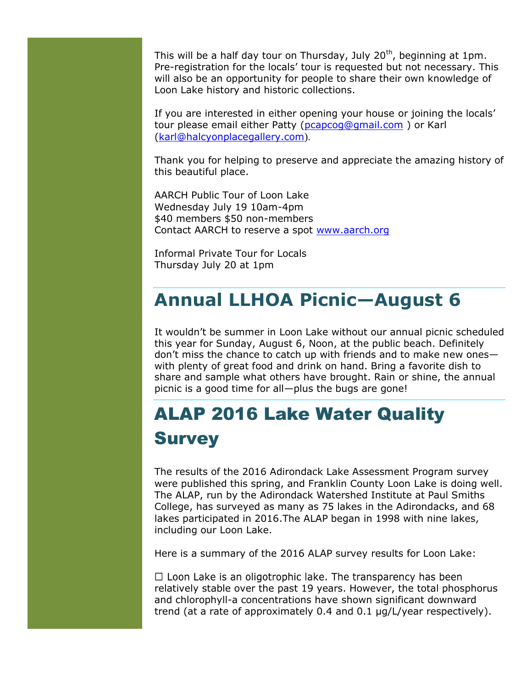This will be a half day tour on Thursday, July  $20<sup>th</sup>$ , beginning at 1pm. Pre-registration for the locals' tour is requested but not necessary. This will also be an opportunity for people to share their own knowledge of Loon Lake history and historic collections.

If you are interested in either opening your house or joining the locals' tour please email either Patty [\(pcapcog@gmail.com](mailto:pcapcog@gmail.com) ) or Karl [\(karl@halcyonplacegallery.com](mailto:karl@halcyonplacegallery.com)).

Thank you for helping to preserve and appreciate the amazing history of this beautiful place.

AARCH Public Tour of Loon Lake Wednesday July 19 10am-4pm \$40 members \$50 non-members Contact AARCH to reserve a spot [www.aarch.org](http://www.aarch.org/)

Informal Private Tour for Locals Thursday July 20 at 1pm

### **Annual LLHOA Picnic—August 6**

It wouldn't be summer in Loon Lake without our annual picnic scheduled this year for Sunday, August 6, Noon, at the public beach. Definitely don't miss the chance to catch up with friends and to make new ones with plenty of great food and drink on hand. Bring a favorite dish to share and sample what others have brought. Rain or shine, the annual picnic is a good time for all—plus the bugs are gone!

# ALAP 2016 Lake Water Quality **Survey**

The results of the 2016 Adirondack Lake Assessment Program survey were published this spring, and Franklin County Loon Lake is doing well. The ALAP, run by the Adirondack Watershed Institute at Paul Smiths College, has surveyed as many as 75 lakes in the Adirondacks, and 68 lakes participated in 2016.The ALAP began in 1998 with nine lakes, including our Loon Lake.

Here is a summary of the 2016 ALAP survey results for Loon Lake:

 $\Box$  Loon Lake is an oligotrophic lake. The transparency has been relatively stable over the past 19 years. However, the total phosphorus and chlorophyll-a concentrations have shown significant downward trend (at a rate of approximately 0.4 and 0.1 μg/L/year respectively).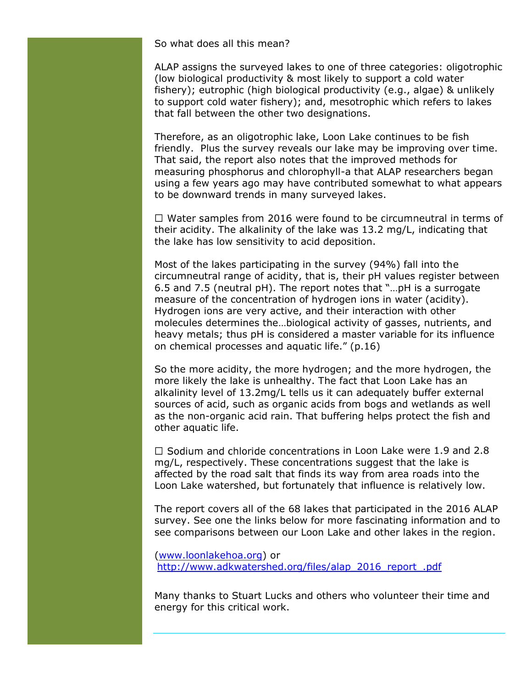So what does all this mean?

ALAP assigns the surveyed lakes to one of three categories: oligotrophic (low biological productivity & most likely to support a cold water fishery); eutrophic (high biological productivity (e.g., algae) & unlikely to support cold water fishery); and, mesotrophic which refers to lakes that fall between the other two designations.

Therefore, as an oligotrophic lake, Loon Lake continues to be fish friendly. Plus the survey reveals our lake may be improving over time. That said, the report also notes that the improved methods for measuring phosphorus and chlorophyll-a that ALAP researchers began using a few years ago may have contributed somewhat to what appears to be downward trends in many surveyed lakes.

 $\Box$  Water samples from 2016 were found to be circumneutral in terms of their acidity. The alkalinity of the lake was 13.2 mg/L, indicating that the lake has low sensitivity to acid deposition.

Most of the lakes participating in the survey (94%) fall into the circumneutral range of acidity, that is, their pH values register between 6.5 and 7.5 (neutral pH). The report notes that "…pH is a surrogate measure of the concentration of hydrogen ions in water (acidity). Hydrogen ions are very active, and their interaction with other molecules determines the…biological activity of gasses, nutrients, and heavy metals; thus pH is considered a master variable for its influence on chemical processes and aquatic life." (p.16)

So the more acidity, the more hydrogen; and the more hydrogen, the more likely the lake is unhealthy. The fact that Loon Lake has an alkalinity level of 13.2mg/L tells us it can adequately buffer external sources of acid, such as organic acids from bogs and wetlands as well as the non-organic acid rain. That buffering helps protect the fish and other aquatic life.

 $\Box$  Sodium and chloride concentrations in Loon Lake were 1.9 and 2.8 mg/L, respectively. These concentrations suggest that the lake is affected by the road salt that finds its way from area roads into the Loon Lake watershed, but fortunately that influence is relatively low.

The report covers all of the 68 lakes that participated in the 2016 ALAP survey. See one the links below for more fascinating information and to see comparisons between our Loon Lake and other lakes in the region.

[\(www.loonlakehoa.org\)](http://www.loonlakehoa.org/) or [http://www.adkwatershed.org/files/alap\\_2016\\_report\\_.pdf](http://www.adkwatershed.org/files/alap_2016_report_.pdf)

Many thanks to Stuart Lucks and others who volunteer their time and energy for this critical work.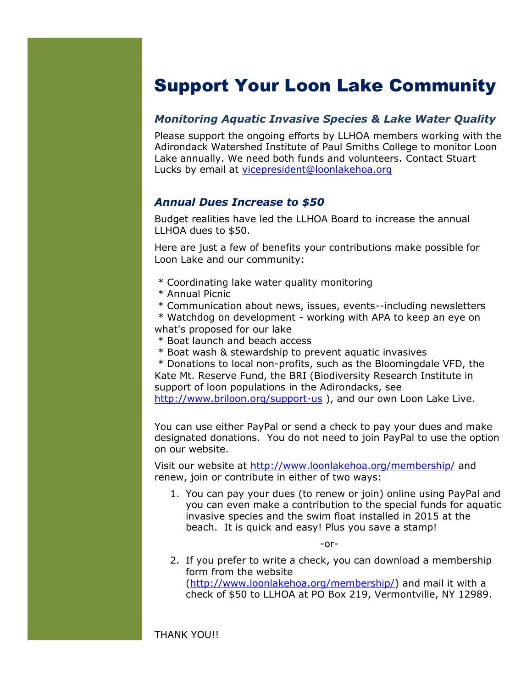### Support Your Loon Lake Community

### *Monitoring Aquatic Invasive Species & Lake Water Quality*

Please support the ongoing efforts by LLHOA members working with the Adirondack Watershed Institute of Paul Smiths College to monitor Loon Lake annually. We need both funds and volunteers. Contact Stuart Lucks by email at [vicepresident@loonlakehoa.org](mailto:vicepresident@loonlakehoa.org)

### *Annual Dues Increase to \$50*

Budget realities have led the LLHOA Board to increase the annual LLHOA dues to \$50.

Here are just a few of benefits your contributions make possible for Loon Lake and our community:

- \* Coordinating lake water quality monitoring
- \* Annual Picnic
- \* Communication about news, issues, events--including newsletters

\* Watchdog on development - working with APA to keep an eye on what's proposed for our lake

- \* Boat launch and beach access
- \* Boat wash & stewardship to prevent aquatic invasives

\* Donations to local non-profits, such as the Bloomingdale VFD, the Kate Mt. Reserve Fund, the BRI (Biodiversity Research Institute in support of loon populations in the Adirondacks, see

<http://www.briloon.org/support-us> ), and our own Loon Lake Live.

You can use either PayPal or send a check to pay your dues and make designated donations. You do not need to join PayPal to use the option on our website.

Visit our website at<http://www.loonlakehoa.org/membership/> and renew, join or contribute in either of two ways:

1. You can pay your dues (to renew or join) online using PayPal and you can even make a contribution to the special funds for aquatic invasive species and the swim float installed in 2015 at the beach. It is quick and easy! Plus you save a stamp!

-or-

2. If you prefer to write a check, you can download a membership form from the website [\(http://www.loonlakehoa.org/membership/\)](http://www.loonlakehoa.org/membership/) and mail it with a check of \$50 to LLHOA at PO Box 219, Vermontville, NY 12989.

THANK YOU!!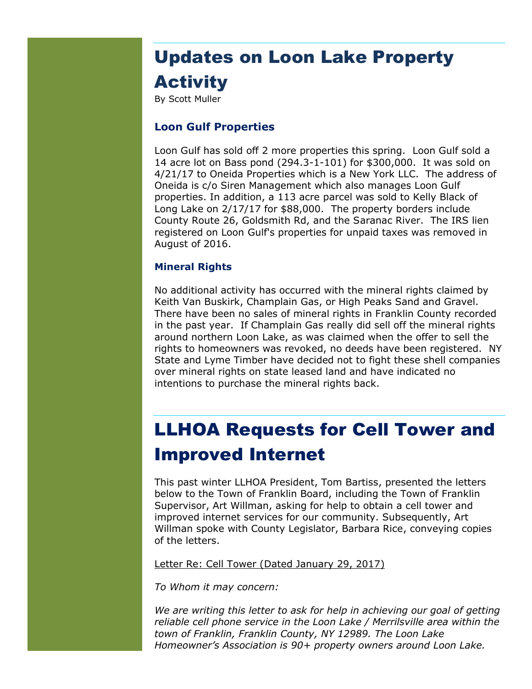# Updates on Loon Lake Property **Activity**

By Scott Muller

#### **Loon Gulf Properties**

Loon Gulf has sold off 2 more properties this spring. Loon Gulf sold a 14 acre lot on Bass pond (294.3-1-101) for \$300,000. It was sold on 4/21/17 to Oneida Properties which is a New York LLC. The address of Oneida is c/o Siren Management which also manages Loon Gulf properties. In addition, a 113 acre parcel was sold to Kelly Black of Long Lake on 2/17/17 for \$88,000. The property borders include County Route 26, Goldsmith Rd, and the Saranac River. The IRS lien registered on Loon Gulf's properties for unpaid taxes was removed in August of 2016.

#### **Mineral Rights**

No additional activity has occurred with the mineral rights claimed by Keith Van Buskirk, Champlain Gas, or High Peaks Sand and Gravel. There have been no sales of mineral rights in Franklin County recorded in the past year. If Champlain Gas really did sell off the mineral rights around northern Loon Lake, as was claimed when the offer to sell the rights to homeowners was revoked, no deeds have been registered. NY State and Lyme Timber have decided not to fight these shell companies over mineral rights on state leased land and have indicated no intentions to purchase the mineral rights back.

### LLHOA Requests for Cell Tower and Improved Internet

This past winter LLHOA President, Tom Bartiss, presented the letters below to the Town of Franklin Board, including the Town of Franklin Supervisor, Art Willman, asking for help to obtain a cell tower and improved internet services for our community. Subsequently, Art Willman spoke with County Legislator, Barbara Rice, conveying copies of the letters.

Letter Re: Cell Tower (Dated January 29, 2017)

*To Whom it may concern:*

*We are writing this letter to ask for help in achieving our goal of getting reliable cell phone service in the Loon Lake / Merrilsville area within the town of Franklin, Franklin County, NY 12989. The Loon Lake Homeowner's Association is 90+ property owners around Loon Lake.*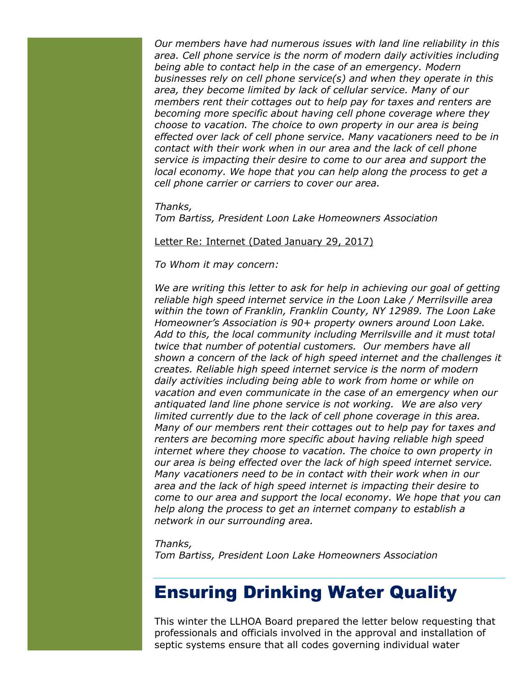*Our members have had numerous issues with land line reliability in this area. Cell phone service is the norm of modern daily activities including being able to contact help in the case of an emergency. Modern businesses rely on cell phone service(s) and when they operate in this area, they become limited by lack of cellular service. Many of our members rent their cottages out to help pay for taxes and renters are becoming more specific about having cell phone coverage where they choose to vacation. The choice to own property in our area is being effected over lack of cell phone service. Many vacationers need to be in contact with their work when in our area and the lack of cell phone service is impacting their desire to come to our area and support the local economy. We hope that you can help along the process to get a cell phone carrier or carriers to cover our area.* 

*Thanks,* 

*Tom Bartiss, President Loon Lake Homeowners Association*

#### Letter Re: Internet (Dated January 29, 2017)

*To Whom it may concern:*

*We are writing this letter to ask for help in achieving our goal of getting reliable high speed internet service in the Loon Lake / Merrilsville area within the town of Franklin, Franklin County, NY 12989. The Loon Lake Homeowner's Association is 90+ property owners around Loon Lake. Add to this, the local community including Merrilsville and it must total twice that number of potential customers. Our members have all shown a concern of the lack of high speed internet and the challenges it creates. Reliable high speed internet service is the norm of modern daily activities including being able to work from home or while on vacation and even communicate in the case of an emergency when our antiquated land line phone service is not working. We are also very limited currently due to the lack of cell phone coverage in this area. Many of our members rent their cottages out to help pay for taxes and renters are becoming more specific about having reliable high speed internet where they choose to vacation. The choice to own property in our area is being effected over the lack of high speed internet service. Many vacationers need to be in contact with their work when in our area and the lack of high speed internet is impacting their desire to come to our area and support the local economy. We hope that you can help along the process to get an internet company to establish a network in our surrounding area.* 

*Thanks,* 

*Tom Bartiss, President Loon Lake Homeowners Association*

### Ensuring Drinking Water Quality

This winter the LLHOA Board prepared the letter below requesting that professionals and officials involved in the approval and installation of septic systems ensure that all codes governing individual water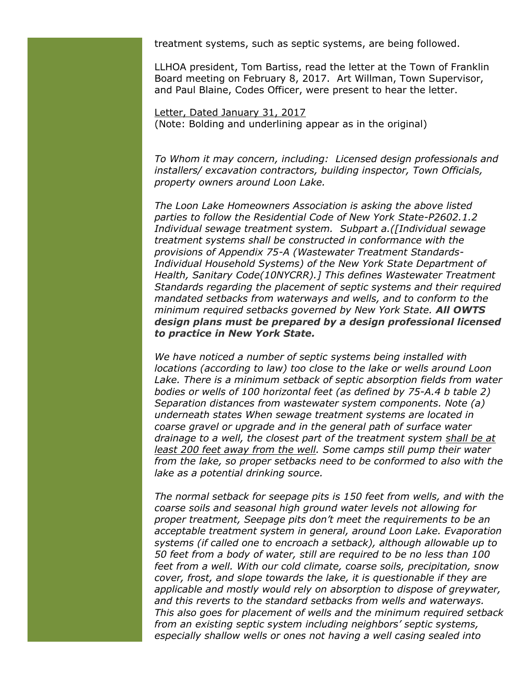treatment systems, such as septic systems, are being followed.

LLHOA president, Tom Bartiss, read the letter at the Town of Franklin Board meeting on February 8, 2017. Art Willman, Town Supervisor, and Paul Blaine, Codes Officer, were present to hear the letter.

Letter, Dated January 31, 2017 (Note: Bolding and underlining appear as in the original)

*To Whom it may concern, including: Licensed design professionals and installers/ excavation contractors, building inspector, Town Officials, property owners around Loon Lake.*

*The Loon Lake Homeowners Association is asking the above listed parties to follow the Residential Code of New York State-P2602.1.2 Individual sewage treatment system. Subpart a.([Individual sewage treatment systems shall be constructed in conformance with the provisions of Appendix 75-A (Wastewater Treatment Standards-Individual Household Systems) of the New York State Department of Health, Sanitary Code(10NYCRR).] This defines Wastewater Treatment Standards regarding the placement of septic systems and their required mandated setbacks from waterways and wells, and to conform to the minimum required setbacks governed by New York State. All OWTS design plans must be prepared by a design professional licensed to practice in New York State.*

*We have noticed a number of septic systems being installed with locations (according to law) too close to the lake or wells around Loon*  Lake. There is a minimum setback of septic absorption fields from water *bodies or wells of 100 horizontal feet (as defined by 75-A.4 b table 2) Separation distances from wastewater system components. Note (a) underneath states When sewage treatment systems are located in coarse gravel or upgrade and in the general path of surface water drainage to a well, the closest part of the treatment system shall be at least 200 feet away from the well. Some camps still pump their water from the lake, so proper setbacks need to be conformed to also with the lake as a potential drinking source.*

*The normal setback for seepage pits is 150 feet from wells, and with the coarse soils and seasonal high ground water levels not allowing for proper treatment, Seepage pits don't meet the requirements to be an acceptable treatment system in general, around Loon Lake. Evaporation systems (if called one to encroach a setback), although allowable up to 50 feet from a body of water, still are required to be no less than 100 feet from a well. With our cold climate, coarse soils, precipitation, snow cover, frost, and slope towards the lake, it is questionable if they are applicable and mostly would rely on absorption to dispose of greywater, and this reverts to the standard setbacks from wells and waterways. This also goes for placement of wells and the minimum required setback from an existing septic system including neighbors' septic systems, especially shallow wells or ones not having a well casing sealed into*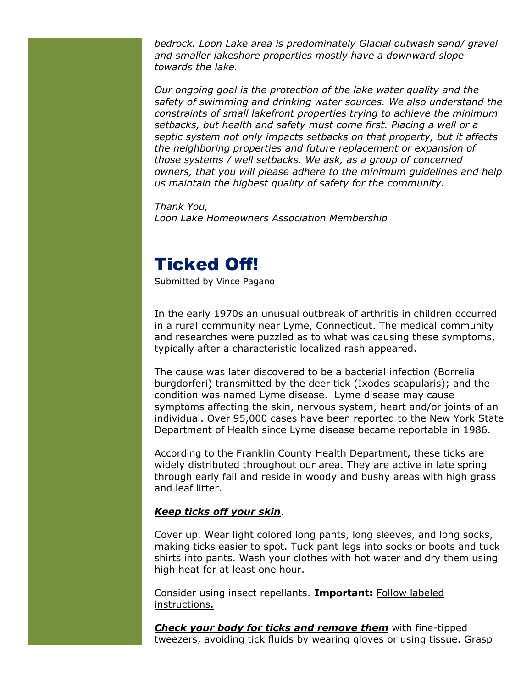*bedrock. Loon Lake area is predominately Glacial outwash sand/ gravel and smaller lakeshore properties mostly have a downward slope towards the lake.*

*Our ongoing goal is the protection of the lake water quality and the safety of swimming and drinking water sources. We also understand the constraints of small lakefront properties trying to achieve the minimum setbacks, but health and safety must come first. Placing a well or a septic system not only impacts setbacks on that property, but it affects the neighboring properties and future replacement or expansion of those systems / well setbacks. We ask, as a group of concerned owners, that you will please adhere to the minimum guidelines and help us maintain the highest quality of safety for the community.* 

*Thank You, Loon Lake Homeowners Association Membership*

### Ticked Off!

Submitted by Vince Pagano

In the early 1970s an unusual outbreak of arthritis in children occurred in a rural community near Lyme, Connecticut. The medical community and researches were puzzled as to what was causing these symptoms, typically after a characteristic localized rash appeared.

The cause was later discovered to be a bacterial infection (Borrelia burgdorferi) transmitted by the deer tick (Ixodes scapularis); and the condition was named Lyme disease. Lyme disease may cause symptoms affecting the skin, nervous system, heart and/or joints of an individual. Over 95,000 cases have been reported to the New York State Department of Health since Lyme disease became reportable in 1986.

According to the Franklin County Health Department, these ticks are widely distributed throughout our area. They are active in late spring through early fall and reside in woody and bushy areas with high grass and leaf litter.

#### *Keep ticks off your skin*.

Cover up. Wear light colored long pants, long sleeves, and long socks, making ticks easier to spot. Tuck pant legs into socks or boots and tuck shirts into pants. Wash your clothes with hot water and dry them using high heat for at least one hour.

Consider using insect repellants. **Important:** Follow labeled instructions.

*Check your body for ticks and remove them* with fine-tipped tweezers, avoiding tick fluids by wearing gloves or using tissue. Grasp